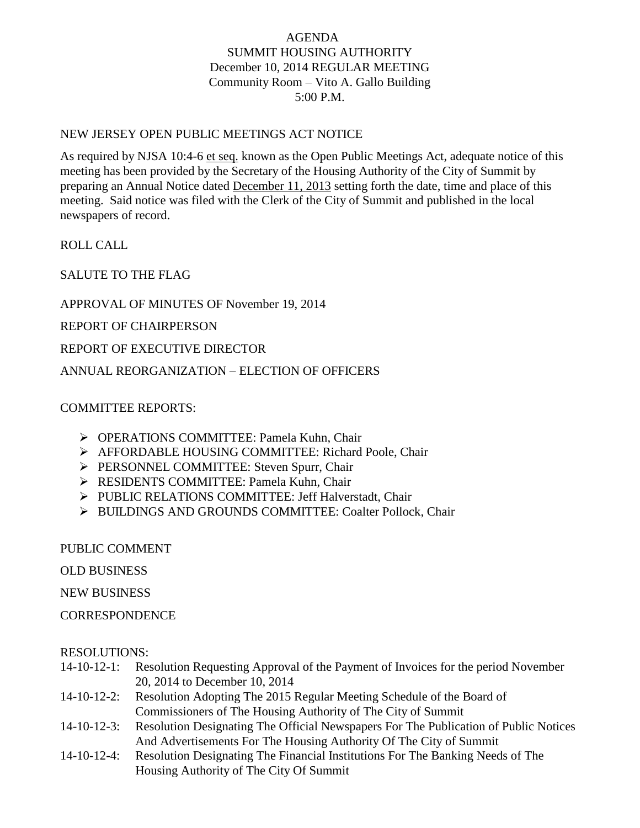## AGENDA SUMMIT HOUSING AUTHORITY December 10, 2014 REGULAR MEETING Community Room – Vito A. Gallo Building 5:00 P.M.

## NEW JERSEY OPEN PUBLIC MEETINGS ACT NOTICE

As required by NJSA 10:4-6 et seq. known as the Open Public Meetings Act, adequate notice of this meeting has been provided by the Secretary of the Housing Authority of the City of Summit by preparing an Annual Notice dated December 11, 2013 setting forth the date, time and place of this meeting. Said notice was filed with the Clerk of the City of Summit and published in the local newspapers of record.

ROLL CALL

SALUTE TO THE FLAG

APPROVAL OF MINUTES OF November 19, 2014

REPORT OF CHAIRPERSON

REPORT OF EXECUTIVE DIRECTOR

ANNUAL REORGANIZATION – ELECTION OF OFFICERS

## COMMITTEE REPORTS:

- OPERATIONS COMMITTEE: Pamela Kuhn, Chair
- AFFORDABLE HOUSING COMMITTEE: Richard Poole, Chair
- PERSONNEL COMMITTEE: Steven Spurr, Chair
- **EXECUTE: Pamela Kuhn, Chair**  $\triangleright$  RESIDENTS COMMITTEE: Pamela Kuhn, Chair
- PUBLIC RELATIONS COMMITTEE: Jeff Halverstadt, Chair
- > BUILDINGS AND GROUNDS COMMITTEE: Coalter Pollock, Chair

PUBLIC COMMENT

OLD BUSINESS

NEW BUSINESS

**CORRESPONDENCE** 

## RESOLUTIONS:

- 14-10-12-1: Resolution Requesting Approval of the Payment of Invoices for the period November 20, 2014 to December 10, 2014
- 14-10-12-2: Resolution Adopting The 2015 Regular Meeting Schedule of the Board of Commissioners of The Housing Authority of The City of Summit
- 14-10-12-3: Resolution Designating The Official Newspapers For The Publication of Public Notices And Advertisements For The Housing Authority Of The City of Summit
- 14-10-12-4: Resolution Designating The Financial Institutions For The Banking Needs of The Housing Authority of The City Of Summit